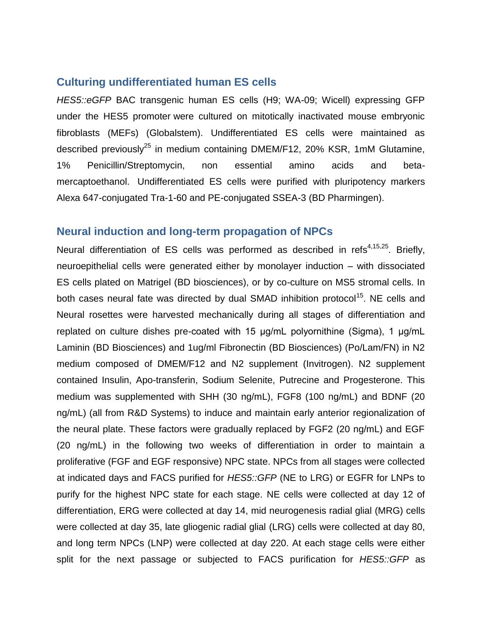## **Culturing undifferentiated human ES cells**

*HES5::eGFP* BAC transgenic human ES cells (H9; WA-09; Wicell) expressing GFP under the HES5 promoter were cultured on mitotically inactivated mouse embryonic fibroblasts (MEFs) (Globalstem). Undifferentiated ES cells were maintained as described previously<sup>25</sup> in medium containing DMEM/F12, 20% KSR, 1mM Glutamine, 1% Penicillin/Streptomycin, non essential amino acids and betamercaptoethanol. Undifferentiated ES cells were purified with pluripotency markers Alexa 647-conjugated Tra-1-60 and PE-conjugated SSEA-3 (BD Pharmingen).

## **Neural induction and long-term propagation of NPCs**

Neural differentiation of ES cells was performed as described in refs<sup>[4,](#page-1-0)15,25</sup>. Briefly, neuroepithelial cells were generated either by monolayer induction – with dissociated ES cells plated on Matrigel (BD biosciences), or by co-culture on MS5 stromal cells. In both cases neural fate was directed by dual SMAD inhibition protocol<sup>15</sup>. NE cells and Neural rosettes were harvested mechanically during all stages of differentiation and replated on culture dishes pre-coated with 15 μg/mL polyornithine (Sigma), 1 μg/mL Laminin (BD Biosciences) and 1ug/ml Fibronectin (BD Biosciences) (Po/Lam/FN) in N2 medium composed of DMEM/F12 and N2 supplement (Invitrogen). N2 supplement contained Insulin, Apo-transferin, Sodium Selenite, Putrecine and Progesterone. This medium was supplemented with SHH (30 ng/mL), FGF8 (100 ng/mL) and BDNF (20 ng/mL) (all from R&D Systems) to induce and maintain early anterior regionalization of the neural plate. These factors were gradually replaced by FGF2 (20 ng/mL) and EGF (20 ng/mL) in the following two weeks of differentiation in order to maintain a proliferative (FGF and EGF responsive) NPC state. NPCs from all stages were collected at indicated days and FACS purified for *HES5::GFP* (NE to LRG) or EGFR for LNPs to purify for the highest NPC state for each stage. NE cells were collected at day 12 of differentiation, ERG were collected at day 14, mid neurogenesis radial glial (MRG) cells were collected at day 35, late gliogenic radial glial (LRG) cells were collected at day 80, and long term NPCs (LNP) were collected at day 220. At each stage cells were either split for the next passage or subjected to FACS purification for *HES5::GFP* as